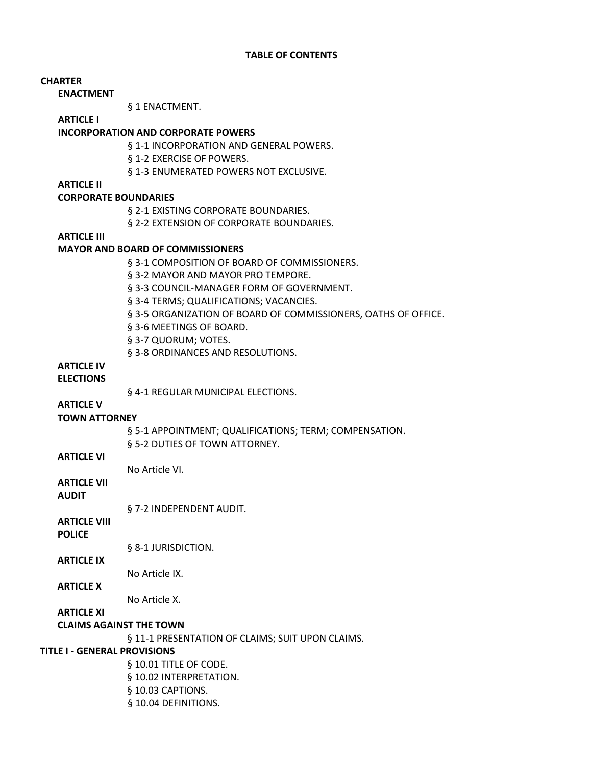| <b>CHARTER</b>                        |                                                                |
|---------------------------------------|----------------------------------------------------------------|
| <b>ENACTMENT</b>                      |                                                                |
|                                       | § 1 ENACTMENT.                                                 |
| <b>ARTICLE I</b>                      |                                                                |
|                                       | <b>INCORPORATION AND CORPORATE POWERS</b>                      |
|                                       | § 1-1 INCORPORATION AND GENERAL POWERS.                        |
|                                       | § 1-2 EXERCISE OF POWERS.                                      |
|                                       | § 1-3 ENUMERATED POWERS NOT EXCLUSIVE.                         |
| <b>ARTICLE II</b>                     |                                                                |
| <b>CORPORATE BOUNDARIES</b>           |                                                                |
|                                       | § 2-1 EXISTING CORPORATE BOUNDARIES.                           |
|                                       | § 2-2 EXTENSION OF CORPORATE BOUNDARIES.                       |
| <b>ARTICLE III</b>                    |                                                                |
|                                       | <b>MAYOR AND BOARD OF COMMISSIONERS</b>                        |
|                                       | § 3-1 COMPOSITION OF BOARD OF COMMISSIONERS.                   |
|                                       | § 3-2 MAYOR AND MAYOR PRO TEMPORE.                             |
|                                       | § 3-3 COUNCIL-MANAGER FORM OF GOVERNMENT.                      |
|                                       | § 3-4 TERMS; QUALIFICATIONS; VACANCIES.                        |
|                                       | § 3-5 ORGANIZATION OF BOARD OF COMMISSIONERS, OATHS OF OFFICE. |
|                                       | § 3-6 MEETINGS OF BOARD.                                       |
|                                       | § 3-7 QUORUM; VOTES.                                           |
|                                       | § 3-8 ORDINANCES AND RESOLUTIONS.                              |
| <b>ARTICLE IV</b><br><b>ELECTIONS</b> |                                                                |
|                                       | § 4-1 REGULAR MUNICIPAL ELECTIONS.                             |
| <b>ARTICLE V</b>                      |                                                                |
| <b>TOWN ATTORNEY</b>                  |                                                                |
|                                       | § 5-1 APPOINTMENT; QUALIFICATIONS; TERM; COMPENSATION.         |
|                                       | § 5-2 DUTIES OF TOWN ATTORNEY.                                 |
| <b>ARTICLE VI</b>                     |                                                                |
|                                       | No Article VI.                                                 |
| <b>ARTICLE VII</b>                    |                                                                |
| <b>AUDIT</b>                          |                                                                |
|                                       | § 7-2 INDEPENDENT AUDIT.                                       |
| <b>ARTICLE VIII</b>                   |                                                                |
| <b>POLICE</b>                         |                                                                |
|                                       | § 8-1 JURISDICTION.                                            |
| <b>ARTICLE IX</b>                     |                                                                |
|                                       | No Article IX.                                                 |
| <b>ARTICLE X</b>                      |                                                                |
|                                       | No Article X.                                                  |
| <b>ARTICLE XI</b>                     |                                                                |
|                                       | <b>CLAIMS AGAINST THE TOWN</b>                                 |
|                                       | § 11-1 PRESENTATION OF CLAIMS; SUIT UPON CLAIMS.               |
| <b>TITLE I - GENERAL PROVISIONS</b>   |                                                                |
|                                       | § 10.01 TITLE OF CODE.                                         |
|                                       | § 10.02 INTERPRETATION.                                        |
|                                       | § 10.03 CAPTIONS.                                              |
|                                       | § 10.04 DEFINITIONS.                                           |
|                                       |                                                                |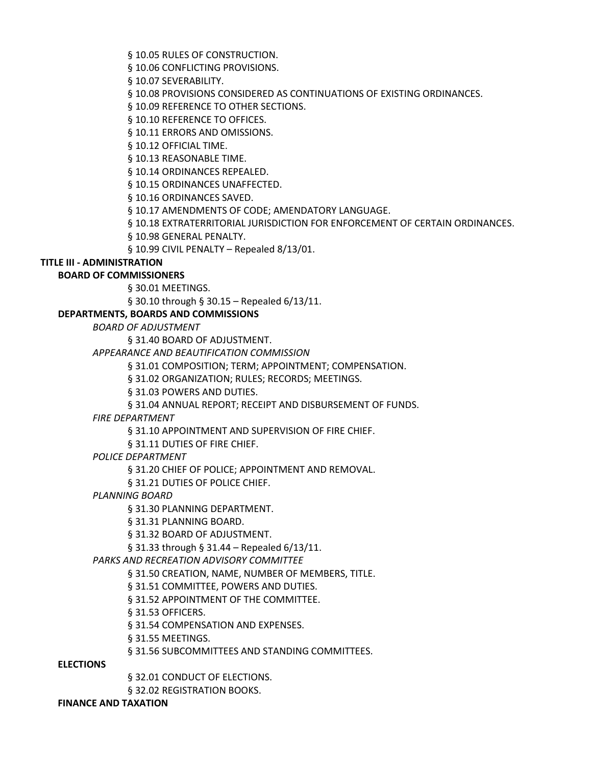§ 10.05 RULES OF CONSTRUCTION.

§ 10.06 CONFLICTING PROVISIONS.

§ 10.07 SEVERABILITY.

§ 10.08 PROVISIONS CONSIDERED AS CONTINUATIONS OF EXISTING ORDINANCES.

§ 10.09 REFERENCE TO OTHER SECTIONS.

§ 10.10 REFERENCE TO OFFICES.

§ 10.11 ERRORS AND OMISSIONS.

§ 10.12 OFFICIAL TIME.

§ 10.13 REASONABLE TIME.

§ 10.14 ORDINANCES REPEALED.

§ 10.15 ORDINANCES UNAFFECTED.

§ 10.16 ORDINANCES SAVED.

§ 10.17 AMENDMENTS OF CODE; AMENDATORY LANGUAGE.

§ 10.18 EXTRATERRITORIAL JURISDICTION FOR ENFORCEMENT OF CERTAIN ORDINANCES.

§ 10.98 GENERAL PENALTY.

§ 10.99 CIVIL PENALTY – Repealed 8/13/01.

#### **TITLE III - ADMINISTRATION**

### **BOARD OF COMMISSIONERS**

§ 30.01 MEETINGS.

§ 30.10 through § 30.15 – Repealed 6/13/11.

#### **DEPARTMENTS, BOARDS AND COMMISSIONS**

*BOARD OF ADJUSTMENT*

§ 31.40 BOARD OF ADJUSTMENT.

*APPEARANCE AND BEAUTIFICATION COMMISSION*

§ 31.01 COMPOSITION; TERM; APPOINTMENT; COMPENSATION.

§ 31.02 ORGANIZATION; RULES; RECORDS; MEETINGS.

§ 31.03 POWERS AND DUTIES.

§ 31.04 ANNUAL REPORT; RECEIPT AND DISBURSEMENT OF FUNDS.

#### *FIRE DEPARTMENT*

§ 31.10 APPOINTMENT AND SUPERVISION OF FIRE CHIEF.

§ 31.11 DUTIES OF FIRE CHIEF.

#### *POLICE DEPARTMENT*

§ 31.20 CHIEF OF POLICE; APPOINTMENT AND REMOVAL.

§ 31.21 DUTIES OF POLICE CHIEF.

#### *PLANNING BOARD*

§ 31.30 PLANNING DEPARTMENT.

§ 31.31 PLANNING BOARD.

§ 31.32 BOARD OF ADJUSTMENT.

§ 31.33 through § 31.44 – Repealed 6/13/11.

#### *PARKS AND RECREATION ADVISORY COMMITTEE*

§ 31.50 CREATION, NAME, NUMBER OF MEMBERS, TITLE.

§ 31.51 COMMITTEE, POWERS AND DUTIES.

§ 31.52 APPOINTMENT OF THE COMMITTEE.

§ 31.53 OFFICERS.

§ 31.54 COMPENSATION AND EXPENSES.

§ 31.55 MEETINGS.

§ 31.56 SUBCOMMITTEES AND STANDING COMMITTEES.

#### **ELECTIONS**

§ 32.01 CONDUCT OF ELECTIONS.

§ 32.02 REGISTRATION BOOKS.

### **FINANCE AND TAXATION**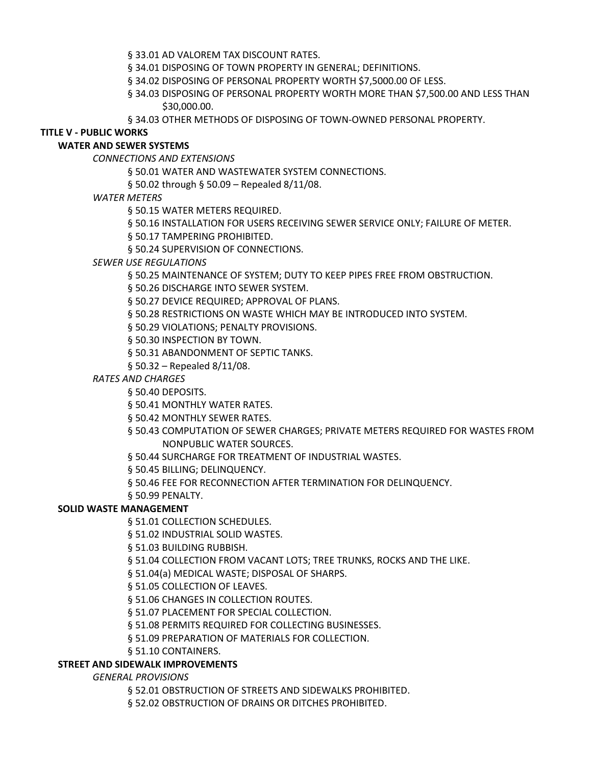§ 33.01 AD VALOREM TAX DISCOUNT RATES.

§ 34.01 DISPOSING OF TOWN PROPERTY IN GENERAL; DEFINITIONS.

§ 34.02 DISPOSING OF PERSONAL PROPERTY WORTH \$7,5000.00 OF LESS.

§ 34.03 DISPOSING OF PERSONAL PROPERTY WORTH MORE THAN \$7,500.00 AND LESS THAN \$30,000.00.

§ 34.03 OTHER METHODS OF DISPOSING OF TOWN-OWNED PERSONAL PROPERTY.

### **TITLE V - PUBLIC WORKS**

## **WATER AND SEWER SYSTEMS**

*CONNECTIONS AND EXTENSIONS* 

§ 50.01 WATER AND WASTEWATER SYSTEM CONNECTIONS.

§ 50.02 through § 50.09 – Repealed 8/11/08.

### *WATER METERS*

§ 50.15 WATER METERS REQUIRED.

§ 50.16 INSTALLATION FOR USERS RECEIVING SEWER SERVICE ONLY; FAILURE OF METER.

§ 50.17 TAMPERING PROHIBITED.

§ 50.24 SUPERVISION OF CONNECTIONS.

### *SEWER USE REGULATIONS*

§ 50.25 MAINTENANCE OF SYSTEM; DUTY TO KEEP PIPES FREE FROM OBSTRUCTION.

§ 50.26 DISCHARGE INTO SEWER SYSTEM.

§ 50.27 DEVICE REQUIRED; APPROVAL OF PLANS.

§ 50.28 RESTRICTIONS ON WASTE WHICH MAY BE INTRODUCED INTO SYSTEM.

§ 50.29 VIOLATIONS; PENALTY PROVISIONS.

§ 50.30 INSPECTION BY TOWN.

§ 50.31 ABANDONMENT OF SEPTIC TANKS.

§ 50.32 – Repealed 8/11/08.

## *RATES AND CHARGES*

§ 50.40 DEPOSITS.

§ 50.41 MONTHLY WATER RATES.

§ 50.42 MONTHLY SEWER RATES.

§ 50.43 COMPUTATION OF SEWER CHARGES; PRIVATE METERS REQUIRED FOR WASTES FROM NONPUBLIC WATER SOURCES.

§ 50.44 SURCHARGE FOR TREATMENT OF INDUSTRIAL WASTES.

§ 50.45 BILLING; DELINQUENCY.

§ 50.46 FEE FOR RECONNECTION AFTER TERMINATION FOR DELINQUENCY.

§ 50.99 PENALTY.

## **SOLID WASTE MANAGEMENT**

§ 51.01 COLLECTION SCHEDULES.

§ 51.02 INDUSTRIAL SOLID WASTES.

§ 51.03 BUILDING RUBBISH.

§ 51.04 COLLECTION FROM VACANT LOTS; TREE TRUNKS, ROCKS AND THE LIKE.

§ 51.04(a) MEDICAL WASTE; DISPOSAL OF SHARPS.

§ 51.05 COLLECTION OF LEAVES.

§ 51.06 CHANGES IN COLLECTION ROUTES.

§ 51.07 PLACEMENT FOR SPECIAL COLLECTION.

§ 51.08 PERMITS REQUIRED FOR COLLECTING BUSINESSES.

§ 51.09 PREPARATION OF MATERIALS FOR COLLECTION.

§ 51.10 CONTAINERS.

### **STREET AND SIDEWALK IMPROVEMENTS**

*GENERAL PROVISIONS* 

§ 52.01 OBSTRUCTION OF STREETS AND SIDEWALKS PROHIBITED.

§ 52.02 OBSTRUCTION OF DRAINS OR DITCHES PROHIBITED.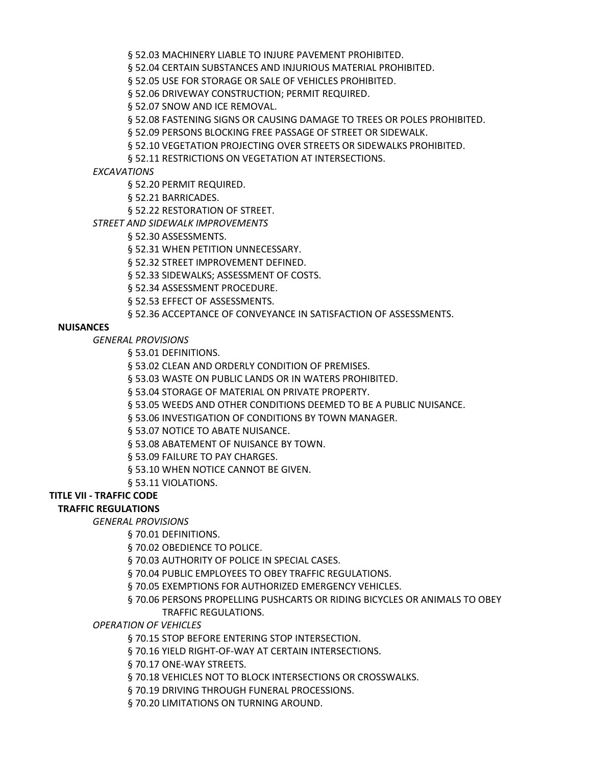§ 52.03 MACHINERY LIABLE TO INJURE PAVEMENT PROHIBITED.

§ 52.04 CERTAIN SUBSTANCES AND INJURIOUS MATERIAL PROHIBITED.

§ 52.05 USE FOR STORAGE OR SALE OF VEHICLES PROHIBITED.

§ 52.06 DRIVEWAY CONSTRUCTION; PERMIT REQUIRED.

§ 52.07 SNOW AND ICE REMOVAL.

§ 52.08 FASTENING SIGNS OR CAUSING DAMAGE TO TREES OR POLES PROHIBITED.

§ 52.09 PERSONS BLOCKING FREE PASSAGE OF STREET OR SIDEWALK.

§ 52.10 VEGETATION PROJECTING OVER STREETS OR SIDEWALKS PROHIBITED.

§ 52.11 RESTRICTIONS ON VEGETATION AT INTERSECTIONS.

*EXCAVATIONS* 

§ 52.20 PERMIT REQUIRED.

§ 52.21 BARRICADES.

§ 52.22 RESTORATION OF STREET.

*STREET AND SIDEWALK IMPROVEMENTS* 

§ 52.30 ASSESSMENTS.

§ 52.31 WHEN PETITION UNNECESSARY.

§ 52.32 STREET IMPROVEMENT DEFINED.

§ 52.33 SIDEWALKS; ASSESSMENT OF COSTS.

§ 52.34 ASSESSMENT PROCEDURE.

§ 52.53 EFFECT OF ASSESSMENTS.

§ 52.36 ACCEPTANCE OF CONVEYANCE IN SATISFACTION OF ASSESSMENTS.

### **NUISANCES**

*GENERAL PROVISIONS* 

§ 53.01 DEFINITIONS.

§ 53.02 CLEAN AND ORDERLY CONDITION OF PREMISES.

§ 53.03 WASTE ON PUBLIC LANDS OR IN WATERS PROHIBITED.

§ 53.04 STORAGE OF MATERIAL ON PRIVATE PROPERTY.

§ 53.05 WEEDS AND OTHER CONDITIONS DEEMED TO BE A PUBLIC NUISANCE.

§ 53.06 INVESTIGATION OF CONDITIONS BY TOWN MANAGER.

§ 53.07 NOTICE TO ABATE NUISANCE.

§ 53.08 ABATEMENT OF NUISANCE BY TOWN.

§ 53.09 FAILURE TO PAY CHARGES.

§ 53.10 WHEN NOTICE CANNOT BE GIVEN.

§ 53.11 VIOLATIONS.

# **TITLE VII - TRAFFIC CODE**

# **TRAFFIC REGULATIONS**

*GENERAL PROVISIONS* 

§ 70.01 DEFINITIONS.

§ 70.02 OBEDIENCE TO POLICE.

§ 70.03 AUTHORITY OF POLICE IN SPECIAL CASES.

§ 70.04 PUBLIC EMPLOYEES TO OBEY TRAFFIC REGULATIONS.

§ 70.05 EXEMPTIONS FOR AUTHORIZED EMERGENCY VEHICLES.

§ 70.06 PERSONS PROPELLING PUSHCARTS OR RIDING BICYCLES OR ANIMALS TO OBEY TRAFFIC REGULATIONS.

*OPERATION OF VEHICLES*

§ 70.15 STOP BEFORE ENTERING STOP INTERSECTION.

§ 70.16 YIELD RIGHT-OF-WAY AT CERTAIN INTERSECTIONS.

§ 70.17 ONE-WAY STREETS.

§ 70.18 VEHICLES NOT TO BLOCK INTERSECTIONS OR CROSSWALKS.

§ 70.19 DRIVING THROUGH FUNERAL PROCESSIONS.

§ 70.20 LIMITATIONS ON TURNING AROUND.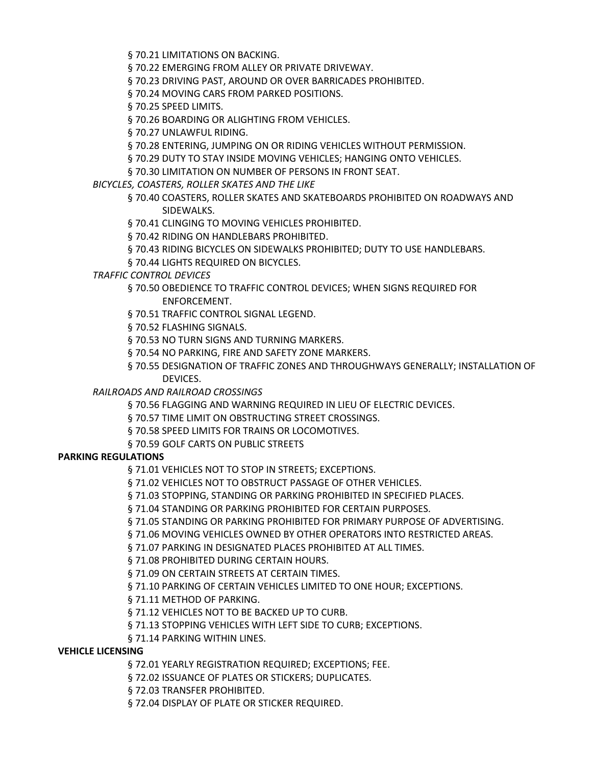§ 70.21 LIMITATIONS ON BACKING.

§ 70.22 EMERGING FROM ALLEY OR PRIVATE DRIVEWAY.

§ 70.23 DRIVING PAST, AROUND OR OVER BARRICADES PROHIBITED.

§ 70.24 MOVING CARS FROM PARKED POSITIONS.

§ 70.25 SPEED LIMITS.

§ 70.26 BOARDING OR ALIGHTING FROM VEHICLES.

§ 70.27 UNLAWFUL RIDING.

§ 70.28 ENTERING, JUMPING ON OR RIDING VEHICLES WITHOUT PERMISSION.

§ 70.29 DUTY TO STAY INSIDE MOVING VEHICLES; HANGING ONTO VEHICLES.

§ 70.30 LIMITATION ON NUMBER OF PERSONS IN FRONT SEAT.

*BICYCLES, COASTERS, ROLLER SKATES AND THE LIKE* 

§ 70.40 COASTERS, ROLLER SKATES AND SKATEBOARDS PROHIBITED ON ROADWAYS AND SIDEWALKS.

§ 70.41 CLINGING TO MOVING VEHICLES PROHIBITED.

§ 70.42 RIDING ON HANDLEBARS PROHIBITED.

§ 70.43 RIDING BICYCLES ON SIDEWALKS PROHIBITED; DUTY TO USE HANDLEBARS.

§ 70.44 LIGHTS REQUIRED ON BICYCLES.

*TRAFFIC CONTROL DEVICES* 

§ 70.50 OBEDIENCE TO TRAFFIC CONTROL DEVICES; WHEN SIGNS REQUIRED FOR ENFORCEMENT.

§ 70.51 TRAFFIC CONTROL SIGNAL LEGEND.

§ 70.52 FLASHING SIGNALS.

§ 70.53 NO TURN SIGNS AND TURNING MARKERS.

§ 70.54 NO PARKING, FIRE AND SAFETY ZONE MARKERS.

§ 70.55 DESIGNATION OF TRAFFIC ZONES AND THROUGHWAYS GENERALLY; INSTALLATION OF DEVICES.

*RAILROADS AND RAILROAD CROSSINGS* 

§ 70.56 FLAGGING AND WARNING REQUIRED IN LIEU OF ELECTRIC DEVICES.

§ 70.57 TIME LIMIT ON OBSTRUCTING STREET CROSSINGS.

§ 70.58 SPEED LIMITS FOR TRAINS OR LOCOMOTIVES.

§ 70.59 GOLF CARTS ON PUBLIC STREETS

## **PARKING REGULATIONS**

§ 71.01 VEHICLES NOT TO STOP IN STREETS; EXCEPTIONS.

§ 71.02 VEHICLES NOT TO OBSTRUCT PASSAGE OF OTHER VEHICLES.

§ 71.03 STOPPING, STANDING OR PARKING PROHIBITED IN SPECIFIED PLACES.

§ 71.04 STANDING OR PARKING PROHIBITED FOR CERTAIN PURPOSES.

§ 71.05 STANDING OR PARKING PROHIBITED FOR PRIMARY PURPOSE OF ADVERTISING.

§ 71.06 MOVING VEHICLES OWNED BY OTHER OPERATORS INTO RESTRICTED AREAS.

§ 71.07 PARKING IN DESIGNATED PLACES PROHIBITED AT ALL TIMES.

§ 71.08 PROHIBITED DURING CERTAIN HOURS.

§ 71.09 ON CERTAIN STREETS AT CERTAIN TIMES.

§ 71.10 PARKING OF CERTAIN VEHICLES LIMITED TO ONE HOUR; EXCEPTIONS.

§ 71.11 METHOD OF PARKING.

§ 71.12 VEHICLES NOT TO BE BACKED UP TO CURB.

§ 71.13 STOPPING VEHICLES WITH LEFT SIDE TO CURB; EXCEPTIONS.

§ 71.14 PARKING WITHIN LINES.

## **VEHICLE LICENSING**

§ 72.01 YEARLY REGISTRATION REQUIRED; EXCEPTIONS; FEE.

§ 72.02 ISSUANCE OF PLATES OR STICKERS; DUPLICATES.

§ 72.03 TRANSFER PROHIBITED.

§ 72.04 DISPLAY OF PLATE OR STICKER REQUIRED.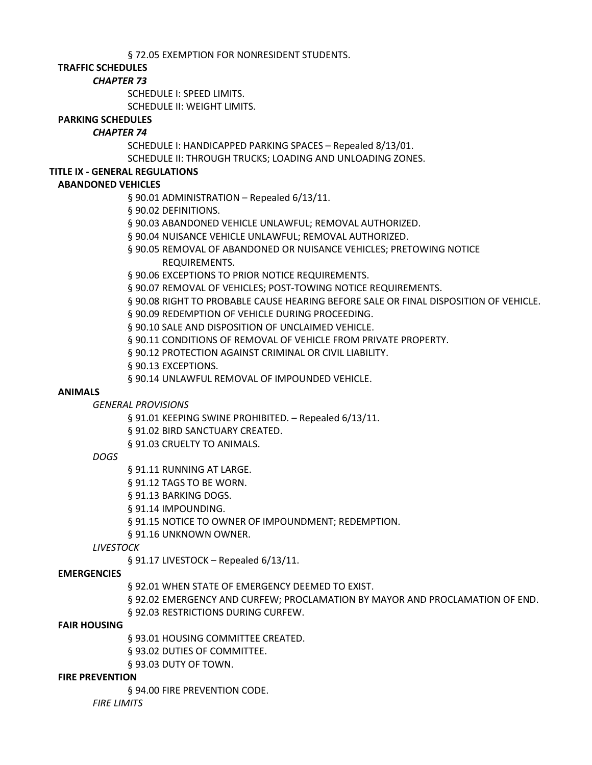§ 72.05 EXEMPTION FOR NONRESIDENT STUDENTS.

## **TRAFFIC SCHEDULES**

### *CHAPTER 73*

SCHEDULE I: SPEED LIMITS.

SCHEDULE II: WEIGHT LIMITS.

### **PARKING SCHEDULES**

## *CHAPTER 74*

SCHEDULE I: HANDICAPPED PARKING SPACES – Repealed 8/13/01. SCHEDULE II: THROUGH TRUCKS; LOADING AND UNLOADING ZONES.

## **TITLE IX - GENERAL REGULATIONS**

## **ABANDONED VEHICLES**

§ 90.01 ADMINISTRATION - Repealed 6/13/11.

- § 90.02 DEFINITIONS.
- § 90.03 ABANDONED VEHICLE UNLAWFUL; REMOVAL AUTHORIZED.
- § 90.04 NUISANCE VEHICLE UNLAWFUL; REMOVAL AUTHORIZED.
- § 90.05 REMOVAL OF ABANDONED OR NUISANCE VEHICLES; PRETOWING NOTICE REQUIREMENTS.
- § 90.06 EXCEPTIONS TO PRIOR NOTICE REQUIREMENTS.
- § 90.07 REMOVAL OF VEHICLES; POST-TOWING NOTICE REQUIREMENTS.
- § 90.08 RIGHT TO PROBABLE CAUSE HEARING BEFORE SALE OR FINAL DISPOSITION OF VEHICLE.
- § 90.09 REDEMPTION OF VEHICLE DURING PROCEEDING.
- § 90.10 SALE AND DISPOSITION OF UNCLAIMED VEHICLE.
- § 90.11 CONDITIONS OF REMOVAL OF VEHICLE FROM PRIVATE PROPERTY.
- § 90.12 PROTECTION AGAINST CRIMINAL OR CIVIL LIABILITY.
- § 90.13 EXCEPTIONS.
- § 90.14 UNLAWFUL REMOVAL OF IMPOUNDED VEHICLE.

### **ANIMALS**

*GENERAL PROVISIONS* 

§ 91.01 KEEPING SWINE PROHIBITED. – Repealed 6/13/11.

- § 91.02 BIRD SANCTUARY CREATED.
- § 91.03 CRUELTY TO ANIMALS.

## *DOGS*

§ 91.11 RUNNING AT LARGE.

- § 91.12 TAGS TO BE WORN.
- § 91.13 BARKING DOGS.
- § 91.14 IMPOUNDING.
- § 91.15 NOTICE TO OWNER OF IMPOUNDMENT; REDEMPTION.
- § 91.16 UNKNOWN OWNER.

*LIVESTOCK* 

§ 91.17 LIVESTOCK – Repealed 6/13/11.

## **EMERGENCIES**

§ 92.01 WHEN STATE OF EMERGENCY DEEMED TO EXIST.

- § 92.02 EMERGENCY AND CURFEW; PROCLAMATION BY MAYOR AND PROCLAMATION OF END.
- § 92.03 RESTRICTIONS DURING CURFEW.

### **FAIR HOUSING**

§ 93.01 HOUSING COMMITTEE CREATED. § 93.02 DUTIES OF COMMITTEE. § 93.03 DUTY OF TOWN.

### **FIRE PREVENTION**

§ 94.00 FIRE PREVENTION CODE.

*FIRE LIMITS*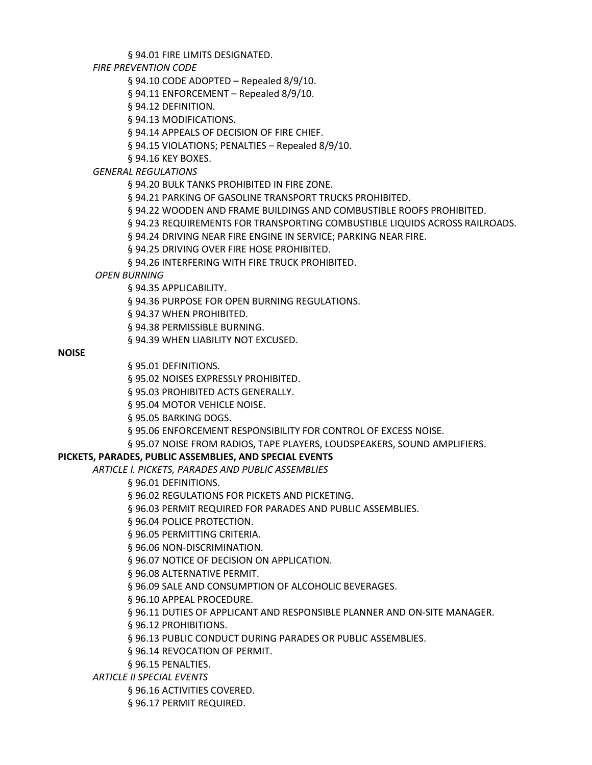§ 94.01 FIRE LIMITS DESIGNATED.

*FIRE PREVENTION CODE* 

§ 94.10 CODE ADOPTED – Repealed 8/9/10.

§ 94.11 ENFORCEMENT – Repealed 8/9/10.

§ 94.12 DEFINITION.

§ 94.13 MODIFICATIONS.

§ 94.14 APPEALS OF DECISION OF FIRE CHIEF.

§ 94.15 VIOLATIONS; PENALTIES – Repealed 8/9/10.

§ 94.16 KEY BOXES.

*GENERAL REGULATIONS* 

§ 94.20 BULK TANKS PROHIBITED IN FIRE ZONE.

§ 94.21 PARKING OF GASOLINE TRANSPORT TRUCKS PROHIBITED.

§ 94.22 WOODEN AND FRAME BUILDINGS AND COMBUSTIBLE ROOFS PROHIBITED.

§ 94.23 REQUIREMENTS FOR TRANSPORTING COMBUSTIBLE LIQUIDS ACROSS RAILROADS.

§ 94.24 DRIVING NEAR FIRE ENGINE IN SERVICE; PARKING NEAR FIRE.

§ 94.25 DRIVING OVER FIRE HOSE PROHIBITED.

§ 94.26 INTERFERING WITH FIRE TRUCK PROHIBITED.

*OPEN BURNING* 

§ 94.35 APPLICABILITY.

§ 94.36 PURPOSE FOR OPEN BURNING REGULATIONS.

§ 94.37 WHEN PROHIBITED.

§ 94.38 PERMISSIBLE BURNING.

§ 94.39 WHEN LIABILITY NOT EXCUSED.

### **NOISE**

§ 95.01 DEFINITIONS.

§ 95.02 NOISES EXPRESSLY PROHIBITED.

§ 95.03 PROHIBITED ACTS GENERALLY.

§ 95.04 MOTOR VEHICLE NOISE.

§ 95.05 BARKING DOGS.

§ 95.06 ENFORCEMENT RESPONSIBILITY FOR CONTROL OF EXCESS NOISE.

§ 95.07 NOISE FROM RADIOS, TAPE PLAYERS, LOUDSPEAKERS, SOUND AMPLIFIERS.

## **PICKETS, PARADES, PUBLIC ASSEMBLIES, AND SPECIAL EVENTS**

*ARTICLE I. PICKETS, PARADES AND PUBLIC ASSEMBLIES* 

§ 96.01 DEFINITIONS.

§ 96.02 REGULATIONS FOR PICKETS AND PICKETING.

§ 96.03 PERMIT REQUIRED FOR PARADES AND PUBLIC ASSEMBLIES.

§ 96.04 POLICE PROTECTION.

§ 96.05 PERMITTING CRITERIA.

§ 96.06 NON-DISCRIMINATION.

§ 96.07 NOTICE OF DECISION ON APPLICATION.

§ 96.08 ALTERNATIVE PERMIT.

§ 96.09 SALE AND CONSUMPTION OF ALCOHOLIC BEVERAGES.

§ 96.10 APPEAL PROCEDURE.

§ 96.11 DUTIES OF APPLICANT AND RESPONSIBLE PLANNER AND ON-SITE MANAGER.

§ 96.12 PROHIBITIONS.

§ 96.13 PUBLIC CONDUCT DURING PARADES OR PUBLIC ASSEMBLIES.

§ 96.14 REVOCATION OF PERMIT.

§ 96.15 PENALTIES.

*ARTICLE II SPECIAL EVENTS*

§ 96.16 ACTIVITIES COVERED.

§ 96.17 PERMIT REQUIRED.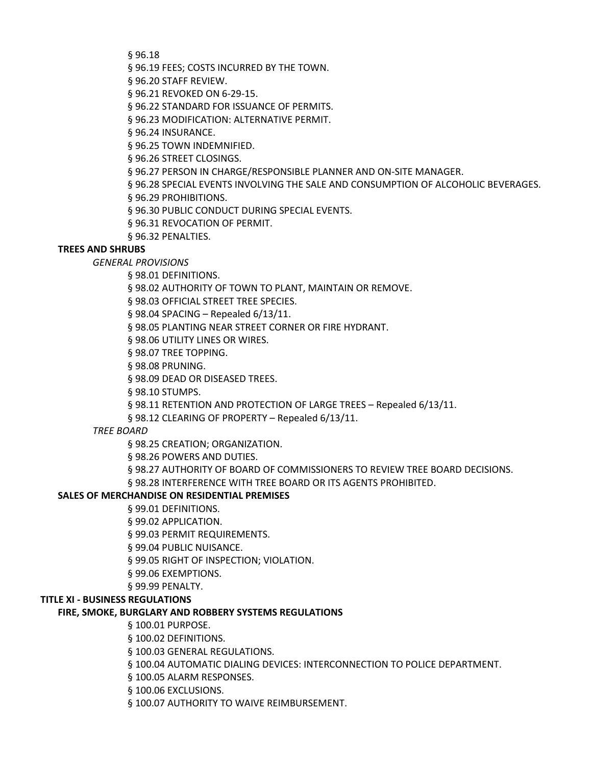§ 96.18

§ 96.19 FEES; COSTS INCURRED BY THE TOWN.

§ 96.20 STAFF REVIEW.

§ 96.21 REVOKED ON 6-29-15.

§ 96.22 STANDARD FOR ISSUANCE OF PERMITS.

§ 96.23 MODIFICATION: ALTERNATIVE PERMIT.

§ 96.24 INSURANCE.

§ 96.25 TOWN INDEMNIFIED.

§ 96.26 STREET CLOSINGS.

§ 96.27 PERSON IN CHARGE/RESPONSIBLE PLANNER AND ON-SITE MANAGER.

§ 96.28 SPECIAL EVENTS INVOLVING THE SALE AND CONSUMPTION OF ALCOHOLIC BEVERAGES.

§ 96.29 PROHIBITIONS.

§ 96.30 PUBLIC CONDUCT DURING SPECIAL EVENTS.

§ 96.31 REVOCATION OF PERMIT.

§ 96.32 PENALTIES.

### **TREES AND SHRUBS**

*GENERAL PROVISIONS* 

§ 98.01 DEFINITIONS.

§ 98.02 AUTHORITY OF TOWN TO PLANT, MAINTAIN OR REMOVE.

§ 98.03 OFFICIAL STREET TREE SPECIES.

§ 98.04 SPACING – Repealed 6/13/11.

§ 98.05 PLANTING NEAR STREET CORNER OR FIRE HYDRANT.

§ 98.06 UTILITY LINES OR WIRES.

§ 98.07 TREE TOPPING.

§ 98.08 PRUNING.

§ 98.09 DEAD OR DISEASED TREES.

§ 98.10 STUMPS.

§ 98.11 RETENTION AND PROTECTION OF LARGE TREES – Repealed 6/13/11.

§ 98.12 CLEARING OF PROPERTY – Repealed 6/13/11.

#### *TREE BOARD*

§ 98.25 CREATION; ORGANIZATION.

§ 98.26 POWERS AND DUTIES.

§ 98.27 AUTHORITY OF BOARD OF COMMISSIONERS TO REVIEW TREE BOARD DECISIONS.

§ 98.28 INTERFERENCE WITH TREE BOARD OR ITS AGENTS PROHIBITED.

### **SALES OF MERCHANDISE ON RESIDENTIAL PREMISES**

§ 99.01 DEFINITIONS.

§ 99.02 APPLICATION.

§ 99.03 PERMIT REQUIREMENTS.

§ 99.04 PUBLIC NUISANCE.

§ 99.05 RIGHT OF INSPECTION; VIOLATION.

§ 99.06 EXEMPTIONS.

§ 99.99 PENALTY.

#### **TITLE XI - BUSINESS REGULATIONS**

### **FIRE, SMOKE, BURGLARY AND ROBBERY SYSTEMS REGULATIONS**

§ 100.01 PURPOSE.

§ 100.02 DEFINITIONS.

§ 100.03 GENERAL REGULATIONS.

§ 100.04 AUTOMATIC DIALING DEVICES: INTERCONNECTION TO POLICE DEPARTMENT.

§ 100.05 ALARM RESPONSES.

§ 100.06 EXCLUSIONS.

§ 100.07 AUTHORITY TO WAIVE REIMBURSEMENT.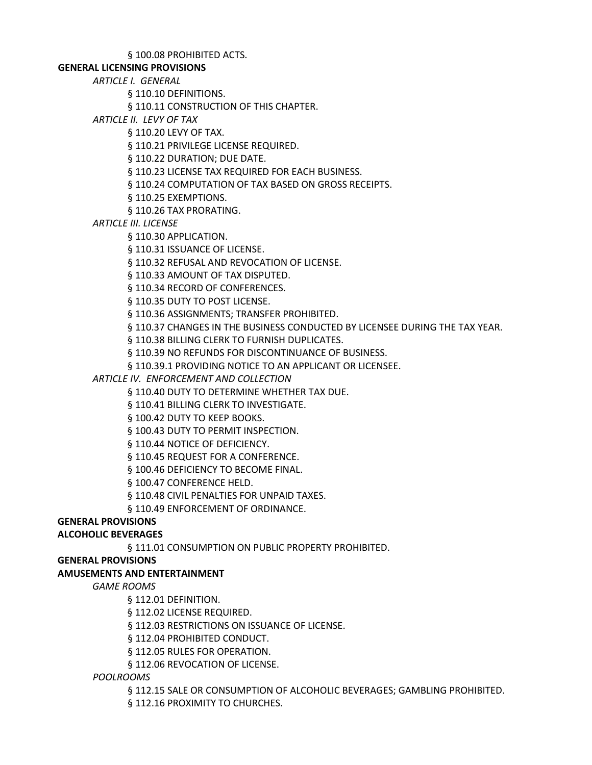### § 100.08 PROHIBITED ACTS.

### **GENERAL LICENSING PROVISIONS**

*ARTICLE I. GENERAL*

§ 110.10 DEFINITIONS.

§ 110.11 CONSTRUCTION OF THIS CHAPTER.

*ARTICLE II. LEVY OF TAX*

§ 110.20 LEVY OF TAX.

§ 110.21 PRIVILEGE LICENSE REQUIRED.

§ 110.22 DURATION; DUE DATE.

§ 110.23 LICENSE TAX REQUIRED FOR EACH BUSINESS.

§ 110.24 COMPUTATION OF TAX BASED ON GROSS RECEIPTS.

§ 110.25 EXEMPTIONS.

§ 110.26 TAX PRORATING.

*ARTICLE III. LICENSE*

§ 110.30 APPLICATION.

§ 110.31 ISSUANCE OF LICENSE.

§ 110.32 REFUSAL AND REVOCATION OF LICENSE.

§ 110.33 AMOUNT OF TAX DISPUTED.

§ 110.34 RECORD OF CONFERENCES.

§ 110.35 DUTY TO POST LICENSE.

§ 110.36 ASSIGNMENTS; TRANSFER PROHIBITED.

§ 110.37 CHANGES IN THE BUSINESS CONDUCTED BY LICENSEE DURING THE TAX YEAR.

§ 110.38 BILLING CLERK TO FURNISH DUPLICATES.

§ 110.39 NO REFUNDS FOR DISCONTINUANCE OF BUSINESS.

§ 110.39.1 PROVIDING NOTICE TO AN APPLICANT OR LICENSEE.

*ARTICLE IV. ENFORCEMENT AND COLLECTION*

§ 110.40 DUTY TO DETERMINE WHETHER TAX DUE.

§ 110.41 BILLING CLERK TO INVESTIGATE.

§ 100.42 DUTY TO KEEP BOOKS.

§ 100.43 DUTY TO PERMIT INSPECTION.

§ 110.44 NOTICE OF DEFICIENCY.

§ 110.45 REQUEST FOR A CONFERENCE.

§ 100.46 DEFICIENCY TO BECOME FINAL.

§ 100.47 CONFERENCE HELD.

§ 110.48 CIVIL PENALTIES FOR UNPAID TAXES.

§ 110.49 ENFORCEMENT OF ORDINANCE.

# **GENERAL PROVISIONS**

# **ALCOHOLIC BEVERAGES**

§ 111.01 CONSUMPTION ON PUBLIC PROPERTY PROHIBITED.

**GENERAL PROVISIONS** 

## **AMUSEMENTS AND ENTERTAINMENT**

*GAME ROOMS* 

§ 112.01 DEFINITION.

§ 112.02 LICENSE REQUIRED.

§ 112.03 RESTRICTIONS ON ISSUANCE OF LICENSE.

§ 112.04 PROHIBITED CONDUCT.

§ 112.05 RULES FOR OPERATION.

§ 112.06 REVOCATION OF LICENSE.

## *POOLROOMS*

§ 112.15 SALE OR CONSUMPTION OF ALCOHOLIC BEVERAGES; GAMBLING PROHIBITED.

§ 112.16 PROXIMITY TO CHURCHES.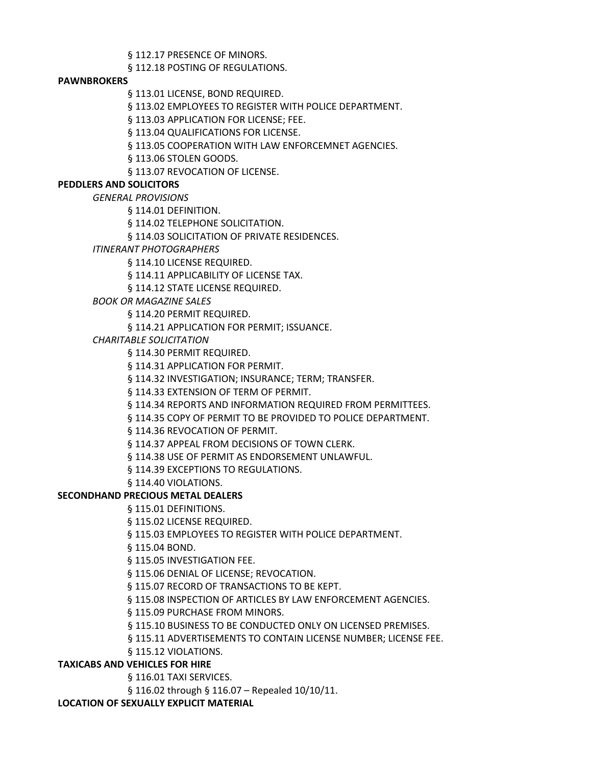§ 112.17 PRESENCE OF MINORS.

§ 112.18 POSTING OF REGULATIONS.

### **PAWNBROKERS**

§ 113.01 LICENSE, BOND REQUIRED.

§ 113.02 EMPLOYEES TO REGISTER WITH POLICE DEPARTMENT.

§ 113.03 APPLICATION FOR LICENSE; FEE.

§ 113.04 QUALIFICATIONS FOR LICENSE.

§ 113.05 COOPERATION WITH LAW ENFORCEMNET AGENCIES.

§ 113.06 STOLEN GOODS.

§ 113.07 REVOCATION OF LICENSE.

## **PEDDLERS AND SOLICITORS**

*GENERAL PROVISIONS* 

§ 114.01 DEFINITION.

§ 114.02 TELEPHONE SOLICITATION.

§ 114.03 SOLICITATION OF PRIVATE RESIDENCES.

*ITINERANT PHOTOGRAPHERS* 

§ 114.10 LICENSE REQUIRED.

§ 114.11 APPLICABILITY OF LICENSE TAX.

§ 114.12 STATE LICENSE REQUIRED.

*BOOK OR MAGAZINE SALES*

§ 114.20 PERMIT REQUIRED.

§ 114.21 APPLICATION FOR PERMIT; ISSUANCE.

*CHARITABLE SOLICITATION*

§ 114.30 PERMIT REQUIRED.

§ 114.31 APPLICATION FOR PERMIT.

§ 114.32 INVESTIGATION; INSURANCE; TERM; TRANSFER.

§ 114.33 EXTENSION OF TERM OF PERMIT.

§ 114.34 REPORTS AND INFORMATION REQUIRED FROM PERMITTEES.

§ 114.35 COPY OF PERMIT TO BE PROVIDED TO POLICE DEPARTMENT.

§ 114.36 REVOCATION OF PERMIT.

§ 114.37 APPEAL FROM DECISIONS OF TOWN CLERK.

§ 114.38 USE OF PERMIT AS ENDORSEMENT UNLAWFUL.

§ 114.39 EXCEPTIONS TO REGULATIONS.

§ 114.40 VIOLATIONS.

## **SECONDHAND PRECIOUS METAL DEALERS**

§ 115.01 DEFINITIONS.

§ 115.02 LICENSE REQUIRED.

§ 115.03 EMPLOYEES TO REGISTER WITH POLICE DEPARTMENT.

§ 115.04 BOND.

§ 115.05 INVESTIGATION FEE.

§ 115.06 DENIAL OF LICENSE; REVOCATION.

§ 115.07 RECORD OF TRANSACTIONS TO BE KEPT.

§ 115.08 INSPECTION OF ARTICLES BY LAW ENFORCEMENT AGENCIES.

§ 115.09 PURCHASE FROM MINORS.

§ 115.10 BUSINESS TO BE CONDUCTED ONLY ON LICENSED PREMISES.

§ 115.11 ADVERTISEMENTS TO CONTAIN LICENSE NUMBER; LICENSE FEE.

§ 115.12 VIOLATIONS.

## **TAXICABS AND VEHICLES FOR HIRE**

§ 116.01 TAXI SERVICES.

§ 116.02 through § 116.07 – Repealed 10/10/11.

**LOCATION OF SEXUALLY EXPLICIT MATERIAL**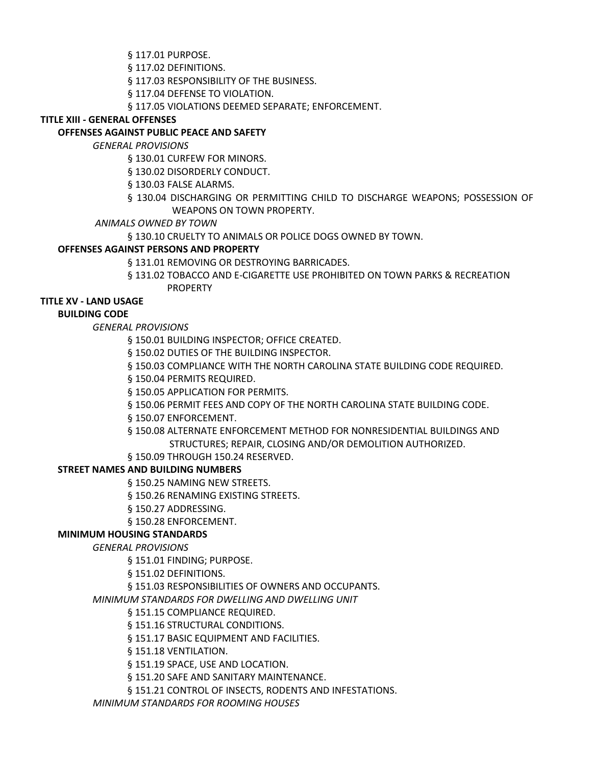§ 117.01 PURPOSE.

§ 117.02 DEFINITIONS.

§ 117.03 RESPONSIBILITY OF THE BUSINESS.

§ 117.04 DEFENSE TO VIOLATION.

§ 117.05 VIOLATIONS DEEMED SEPARATE; ENFORCEMENT.

## **TITLE XIII - GENERAL OFFENSES**

## **OFFENSES AGAINST PUBLIC PEACE AND SAFETY**

*GENERAL PROVISIONS* 

§ 130.01 CURFEW FOR MINORS.

§ 130.02 DISORDERLY CONDUCT.

§ 130.03 FALSE ALARMS.

§ 130.04 DISCHARGING OR PERMITTING CHILD TO DISCHARGE WEAPONS; POSSESSION OF WEAPONS ON TOWN PROPERTY.

*ANIMALS OWNED BY TOWN* 

§ 130.10 CRUELTY TO ANIMALS OR POLICE DOGS OWNED BY TOWN.

### **OFFENSES AGAINST PERSONS AND PROPERTY**

§ 131.01 REMOVING OR DESTROYING BARRICADES.

§ 131.02 TOBACCO AND E-CIGARETTE USE PROHIBITED ON TOWN PARKS & RECREATION PROPERTY

# **TITLE XV - LAND USAGE**

### **BUILDING CODE**

*GENERAL PROVISIONS* 

§ 150.01 BUILDING INSPECTOR; OFFICE CREATED.

§ 150.02 DUTIES OF THE BUILDING INSPECTOR.

§ 150.03 COMPLIANCE WITH THE NORTH CAROLINA STATE BUILDING CODE REQUIRED.

§ 150.04 PERMITS REQUIRED.

§ 150.05 APPLICATION FOR PERMITS.

§ 150.06 PERMIT FEES AND COPY OF THE NORTH CAROLINA STATE BUILDING CODE.

§ 150.07 ENFORCEMENT.

§ 150.08 ALTERNATE ENFORCEMENT METHOD FOR NONRESIDENTIAL BUILDINGS AND STRUCTURES; REPAIR, CLOSING AND/OR DEMOLITION AUTHORIZED.

§ 150.09 THROUGH 150.24 RESERVED.

## **STREET NAMES AND BUILDING NUMBERS**

§ 150.25 NAMING NEW STREETS.

§ 150.26 RENAMING EXISTING STREETS.

§ 150.27 ADDRESSING.

§ 150.28 ENFORCEMENT.

### **MINIMUM HOUSING STANDARDS**

*GENERAL PROVISIONS* 

§ 151.01 FINDING; PURPOSE.

§ 151.02 DEFINITIONS.

§ 151.03 RESPONSIBILITIES OF OWNERS AND OCCUPANTS.

*MINIMUM STANDARDS FOR DWELLING AND DWELLING UNIT* 

§ 151.15 COMPLIANCE REQUIRED.

§ 151.16 STRUCTURAL CONDITIONS.

§ 151.17 BASIC EQUIPMENT AND FACILITIES.

§ 151.18 VENTILATION.

§ 151.19 SPACE, USE AND LOCATION.

§ 151.20 SAFE AND SANITARY MAINTENANCE.

§ 151.21 CONTROL OF INSECTS, RODENTS AND INFESTATIONS.

*MINIMUM STANDARDS FOR ROOMING HOUSES*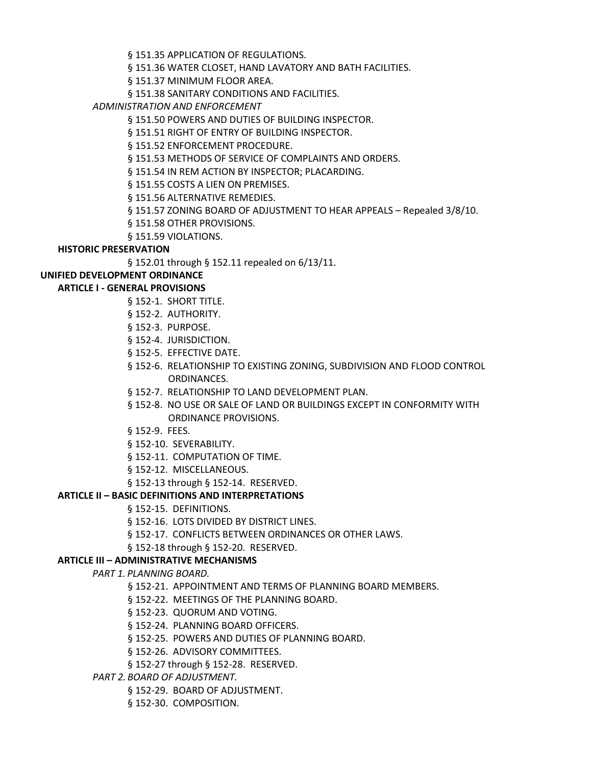§ 151.35 APPLICATION OF REGULATIONS.

§ 151.36 WATER CLOSET, HAND LAVATORY AND BATH FACILITIES.

§ 151.37 MINIMUM FLOOR AREA.

§ 151.38 SANITARY CONDITIONS AND FACILITIES.

*ADMINISTRATION AND ENFORCEMENT* 

§ 151.50 POWERS AND DUTIES OF BUILDING INSPECTOR.

§ 151.51 RIGHT OF ENTRY OF BUILDING INSPECTOR.

§ 151.52 ENFORCEMENT PROCEDURE.

§ 151.53 METHODS OF SERVICE OF COMPLAINTS AND ORDERS.

§ 151.54 IN REM ACTION BY INSPECTOR; PLACARDING.

§ 151.55 COSTS A LIEN ON PREMISES.

§ 151.56 ALTERNATIVE REMEDIES.

§ 151.57 ZONING BOARD OF ADJUSTMENT TO HEAR APPEALS – Repealed 3/8/10.

§ 151.58 OTHER PROVISIONS.

§ 151.59 VIOLATIONS.

# **HISTORIC PRESERVATION**

§ 152.01 through § 152.11 repealed on 6/13/11.

# **UNIFIED DEVELOPMENT ORDINANCE**

# **ARTICLE I - GENERAL PROVISIONS**

- § 152-1. SHORT TITLE.
- § 152-2. AUTHORITY.
- § 152-3. PURPOSE.
- § 152-4. JURISDICTION.
- § 152-5. EFFECTIVE DATE.
- § 152-6. RELATIONSHIP TO EXISTING ZONING, SUBDIVISION AND FLOOD CONTROL ORDINANCES.
- § 152-7. RELATIONSHIP TO LAND DEVELOPMENT PLAN.
- § 152-8. NO USE OR SALE OF LAND OR BUILDINGS EXCEPT IN CONFORMITY WITH ORDINANCE PROVISIONS.
- § 152-9. FEES.
- § 152-10. SEVERABILITY.
- § 152-11. COMPUTATION OF TIME.
- § 152-12. MISCELLANEOUS.
- § 152-13 through § 152-14. RESERVED.

## **ARTICLE II – BASIC DEFINITIONS AND INTERPRETATIONS**

- § 152-15. DEFINITIONS.
- § 152-16. LOTS DIVIDED BY DISTRICT LINES.
- § 152-17. CONFLICTS BETWEEN ORDINANCES OR OTHER LAWS.

§ 152-18 through § 152-20. RESERVED.

## **ARTICLE III – ADMINISTRATIVE MECHANISMS**

*PART 1. PLANNING BOARD.*

- § 152-21. APPOINTMENT AND TERMS OF PLANNING BOARD MEMBERS.
- § 152-22. MEETINGS OF THE PLANNING BOARD.
- § 152-23. QUORUM AND VOTING.
- § 152-24. PLANNING BOARD OFFICERS.
- § 152-25. POWERS AND DUTIES OF PLANNING BOARD.
- § 152-26. ADVISORY COMMITTEES.
- § 152-27 through § 152-28. RESERVED.
- *PART 2. BOARD OF ADJUSTMENT.*
	- § 152-29. BOARD OF ADJUSTMENT.
	- § 152-30. COMPOSITION.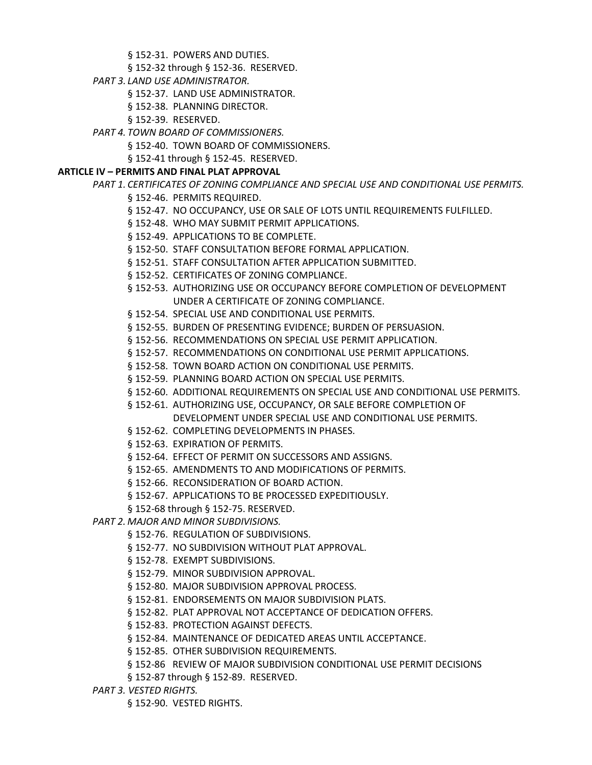§ 152-31. POWERS AND DUTIES.

- § 152-32 through § 152-36. RESERVED.
- *PART 3. LAND USE ADMINISTRATOR.*
	- § 152-37. LAND USE ADMINISTRATOR.
	- § 152-38. PLANNING DIRECTOR.
	- § 152-39. RESERVED.
- *PART 4. TOWN BOARD OF COMMISSIONERS.*
	- § 152-40. TOWN BOARD OF COMMISSIONERS.
	- § 152-41 through § 152-45. RESERVED.

## **ARTICLE IV – PERMITS AND FINAL PLAT APPROVAL**

## *PART 1. CERTIFICATES OF ZONING COMPLIANCE AND SPECIAL USE AND CONDITIONAL USE PERMITS.*

- § 152-46. PERMITS REQUIRED.
- § 152-47. NO OCCUPANCY, USE OR SALE OF LOTS UNTIL REQUIREMENTS FULFILLED.
- § 152-48. WHO MAY SUBMIT PERMIT APPLICATIONS.
- § 152-49. APPLICATIONS TO BE COMPLETE.
- § 152-50. STAFF CONSULTATION BEFORE FORMAL APPLICATION.
- § 152-51. STAFF CONSULTATION AFTER APPLICATION SUBMITTED.
- § 152-52. CERTIFICATES OF ZONING COMPLIANCE.
- § 152-53. AUTHORIZING USE OR OCCUPANCY BEFORE COMPLETION OF DEVELOPMENT UNDER A CERTIFICATE OF ZONING COMPLIANCE.
- § 152-54. SPECIAL USE AND CONDITIONAL USE PERMITS.
- § 152-55. BURDEN OF PRESENTING EVIDENCE; BURDEN OF PERSUASION.
- § 152-56. RECOMMENDATIONS ON SPECIAL USE PERMIT APPLICATION.
- § 152-57. RECOMMENDATIONS ON CONDITIONAL USE PERMIT APPLICATIONS.
- § 152-58. TOWN BOARD ACTION ON CONDITIONAL USE PERMITS.
- § 152-59. PLANNING BOARD ACTION ON SPECIAL USE PERMITS.
- § 152-60. ADDITIONAL REQUIREMENTS ON SPECIAL USE AND CONDITIONAL USE PERMITS.
- § 152-61. AUTHORIZING USE, OCCUPANCY, OR SALE BEFORE COMPLETION OF DEVELOPMENT UNDER SPECIAL USE AND CONDITIONAL USE PERMITS.
- § 152-62. COMPLETING DEVELOPMENTS IN PHASES.
- § 152-63. EXPIRATION OF PERMITS.
- § 152-64. EFFECT OF PERMIT ON SUCCESSORS AND ASSIGNS.
- § 152-65. AMENDMENTS TO AND MODIFICATIONS OF PERMITS.
- § 152-66. RECONSIDERATION OF BOARD ACTION.
- § 152-67. APPLICATIONS TO BE PROCESSED EXPEDITIOUSLY.
- § 152-68 through § 152-75. RESERVED.
- *PART 2. MAJOR AND MINOR SUBDIVISIONS.*
	- § 152-76. REGULATION OF SUBDIVISIONS.
	- § 152-77. NO SUBDIVISION WITHOUT PLAT APPROVAL.
	- § 152-78. EXEMPT SUBDIVISIONS.
	- § 152-79. MINOR SUBDIVISION APPROVAL.
	- § 152-80. MAJOR SUBDIVISION APPROVAL PROCESS.
	- § 152-81. ENDORSEMENTS ON MAJOR SUBDIVISION PLATS.
	- § 152-82. PLAT APPROVAL NOT ACCEPTANCE OF DEDICATION OFFERS.
	- § 152-83. PROTECTION AGAINST DEFECTS.
	- § 152-84. MAINTENANCE OF DEDICATED AREAS UNTIL ACCEPTANCE.
	- § 152-85. OTHER SUBDIVISION REQUIREMENTS.
	- § 152-86 REVIEW OF MAJOR SUBDIVISION CONDITIONAL USE PERMIT DECISIONS
	- § 152-87 through § 152-89. RESERVED.
- *PART 3. VESTED RIGHTS.*
	- § 152-90. VESTED RIGHTS.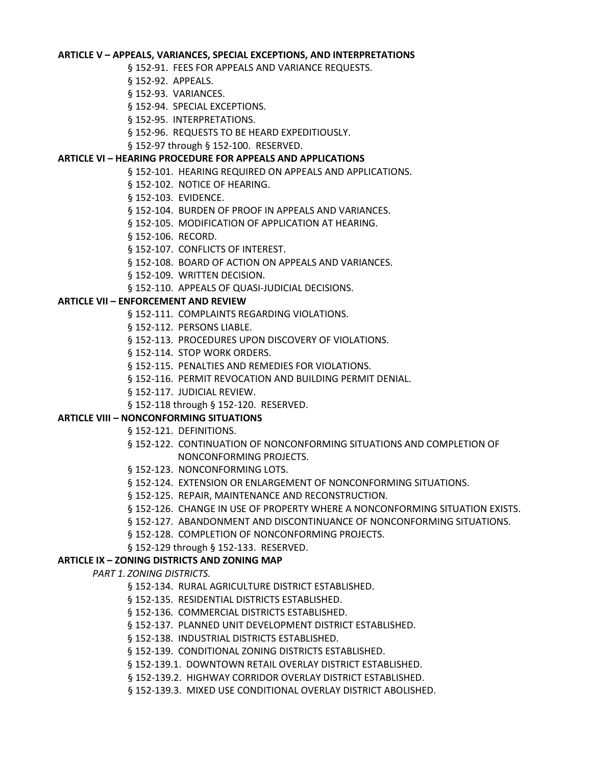### **ARTICLE V – APPEALS, VARIANCES, SPECIAL EXCEPTIONS, AND INTERPRETATIONS**

- § 152-91. FEES FOR APPEALS AND VARIANCE REQUESTS.
- § 152-92. APPEALS.
- § 152-93. VARIANCES.
- § 152-94. SPECIAL EXCEPTIONS.
- § 152-95. INTERPRETATIONS.
- § 152-96. REQUESTS TO BE HEARD EXPEDITIOUSLY.
- § 152-97 through § 152-100. RESERVED.

### **ARTICLE VI – HEARING PROCEDURE FOR APPEALS AND APPLICATIONS**

- § 152-101. HEARING REQUIRED ON APPEALS AND APPLICATIONS.
- § 152-102. NOTICE OF HEARING.
- § 152-103. EVIDENCE.
- § 152-104. BURDEN OF PROOF IN APPEALS AND VARIANCES.
- § 152-105. MODIFICATION OF APPLICATION AT HEARING.
- § 152-106. RECORD.
- § 152-107. CONFLICTS OF INTEREST.
- § 152-108. BOARD OF ACTION ON APPEALS AND VARIANCES.
- § 152-109. WRITTEN DECISION.
- § 152-110. APPEALS OF QUASI-JUDICIAL DECISIONS.

### **ARTICLE VII – ENFORCEMENT AND REVIEW**

- § 152-111. COMPLAINTS REGARDING VIOLATIONS.
- § 152-112. PERSONS LIABLE.
- § 152-113. PROCEDURES UPON DISCOVERY OF VIOLATIONS.
- § 152-114. STOP WORK ORDERS.
- § 152-115. PENALTIES AND REMEDIES FOR VIOLATIONS.
- § 152-116. PERMIT REVOCATION AND BUILDING PERMIT DENIAL.
- § 152-117. JUDICIAL REVIEW.
- § 152-118 through § 152-120. RESERVED.

## **ARTICLE VIII – NONCONFORMING SITUATIONS**

- § 152-121. DEFINITIONS.
- § 152-122. CONTINUATION OF NONCONFORMING SITUATIONS AND COMPLETION OF NONCONFORMING PROJECTS.
- § 152-123. NONCONFORMING LOTS.
- § 152-124. EXTENSION OR ENLARGEMENT OF NONCONFORMING SITUATIONS.
- § 152-125. REPAIR, MAINTENANCE AND RECONSTRUCTION.
- § 152-126. CHANGE IN USE OF PROPERTY WHERE A NONCONFORMING SITUATION EXISTS.
- § 152-127. ABANDONMENT AND DISCONTINUANCE OF NONCONFORMING SITUATIONS.
- § 152-128. COMPLETION OF NONCONFORMING PROJECTS.
- § 152-129 through § 152-133. RESERVED.

### **ARTICLE IX – ZONING DISTRICTS AND ZONING MAP**

*PART 1. ZONING DISTRICTS.*

- § 152-134. RURAL AGRICULTURE DISTRICT ESTABLISHED.
- § 152-135. RESIDENTIAL DISTRICTS ESTABLISHED.
- § 152-136. COMMERCIAL DISTRICTS ESTABLISHED.
- § 152-137. PLANNED UNIT DEVELOPMENT DISTRICT ESTABLISHED.
- § 152-138. INDUSTRIAL DISTRICTS ESTABLISHED.
- § 152-139. CONDITIONAL ZONING DISTRICTS ESTABLISHED.
- § 152-139.1. DOWNTOWN RETAIL OVERLAY DISTRICT ESTABLISHED.
- § 152-139.2. HIGHWAY CORRIDOR OVERLAY DISTRICT ESTABLISHED.
- § 152-139.3. MIXED USE CONDITIONAL OVERLAY DISTRICT ABOLISHED.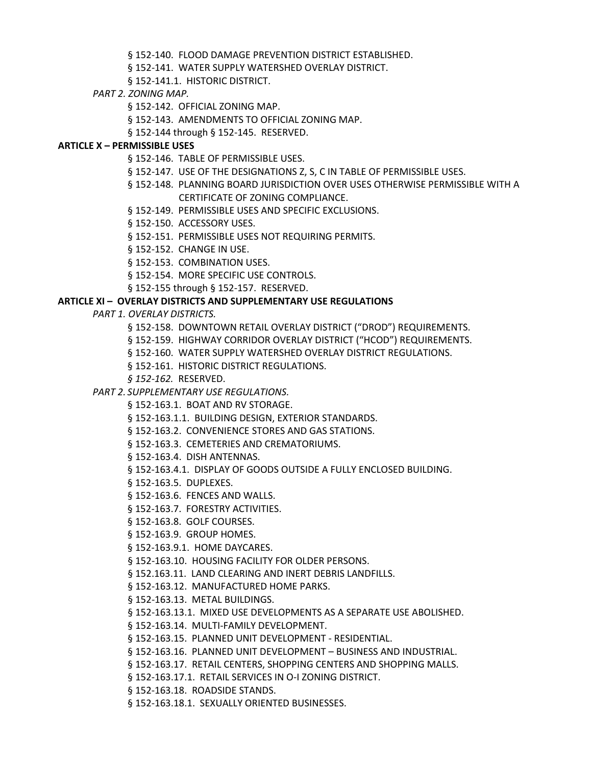§ 152-140. FLOOD DAMAGE PREVENTION DISTRICT ESTABLISHED.

§ 152-141. WATER SUPPLY WATERSHED OVERLAY DISTRICT.

§ 152-141.1. HISTORIC DISTRICT.

- *PART 2. ZONING MAP.*
	- § 152-142. OFFICIAL ZONING MAP.
	- § 152-143. AMENDMENTS TO OFFICIAL ZONING MAP.
	- § 152-144 through § 152-145. RESERVED.

### **ARTICLE X – PERMISSIBLE USES**

- § 152-146. TABLE OF PERMISSIBLE USES.
- § 152-147. USE OF THE DESIGNATIONS Z, S, C IN TABLE OF PERMISSIBLE USES.
- § 152-148. PLANNING BOARD JURISDICTION OVER USES OTHERWISE PERMISSIBLE WITH A CERTIFICATE OF ZONING COMPLIANCE.
- § 152-149. PERMISSIBLE USES AND SPECIFIC EXCLUSIONS.
- § 152-150. ACCESSORY USES.
- § 152-151. PERMISSIBLE USES NOT REQUIRING PERMITS.
- § 152-152. CHANGE IN USE.
- § 152-153. COMBINATION USES.
- § 152-154. MORE SPECIFIC USE CONTROLS.
- § 152-155 through § 152-157. RESERVED.

### **ARTICLE XI – OVERLAY DISTRICTS AND SUPPLEMENTARY USE REGULATIONS**

- *PART 1. OVERLAY DISTRICTS.*
	- § 152-158. DOWNTOWN RETAIL OVERLAY DISTRICT ("DROD") REQUIREMENTS.
	- § 152-159. HIGHWAY CORRIDOR OVERLAY DISTRICT ("HCOD") REQUIREMENTS.
	- § 152-160. WATER SUPPLY WATERSHED OVERLAY DISTRICT REGULATIONS.
	- § 152-161. HISTORIC DISTRICT REGULATIONS.
	- *§ 152-162.* RESERVED.
	- *PART 2. SUPPLEMENTARY USE REGULATIONS.*
		- § 152-163.1. BOAT AND RV STORAGE.
		- § 152-163.1.1. BUILDING DESIGN, EXTERIOR STANDARDS.
		- § 152-163.2. CONVENIENCE STORES AND GAS STATIONS.
		- § 152-163.3. CEMETERIES AND CREMATORIUMS.
		- § 152-163.4. DISH ANTENNAS.
		- § 152-163.4.1. DISPLAY OF GOODS OUTSIDE A FULLY ENCLOSED BUILDING.
		- § 152-163.5. DUPLEXES.
		- § 152-163.6. FENCES AND WALLS.
		- § 152-163.7. FORESTRY ACTIVITIES.
		- § 152-163.8. GOLF COURSES.
		- § 152-163.9. GROUP HOMES.
		- § 152-163.9.1. HOME DAYCARES.
		- § 152-163.10. HOUSING FACILITY FOR OLDER PERSONS.
		- § 152.163.11. LAND CLEARING AND INERT DEBRIS LANDFILLS.
		- § 152-163.12. MANUFACTURED HOME PARKS.
		- § 152-163.13. METAL BUILDINGS.
		- § 152-163.13.1. MIXED USE DEVELOPMENTS AS A SEPARATE USE ABOLISHED.
		- § 152-163.14. MULTI-FAMILY DEVELOPMENT.
		- § 152-163.15. PLANNED UNIT DEVELOPMENT RESIDENTIAL.
		- § 152-163.16. PLANNED UNIT DEVELOPMENT BUSINESS AND INDUSTRIAL.
		- § 152-163.17. RETAIL CENTERS, SHOPPING CENTERS AND SHOPPING MALLS.
		- § 152-163.17.1. RETAIL SERVICES IN O-I ZONING DISTRICT.
		- § 152-163.18. ROADSIDE STANDS.
		- § 152-163.18.1. SEXUALLY ORIENTED BUSINESSES.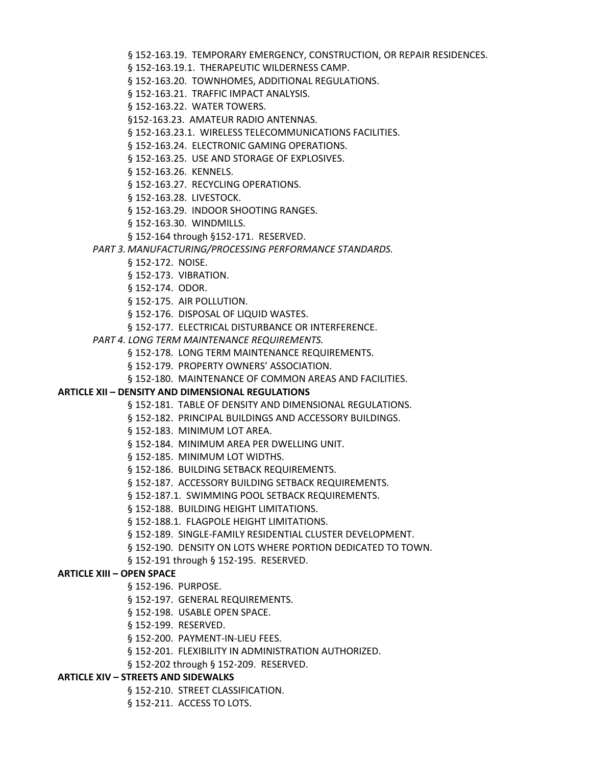§ 152-163.19. TEMPORARY EMERGENCY, CONSTRUCTION, OR REPAIR RESIDENCES.

- § 152-163.19.1. THERAPEUTIC WILDERNESS CAMP.
- § 152-163.20. TOWNHOMES, ADDITIONAL REGULATIONS.
- § 152-163.21. TRAFFIC IMPACT ANALYSIS.
- § 152-163.22. WATER TOWERS.
- §152-163.23. AMATEUR RADIO ANTENNAS.
- § 152-163.23.1. WIRELESS TELECOMMUNICATIONS FACILITIES.
- § 152-163.24. ELECTRONIC GAMING OPERATIONS.
- § 152-163.25. USE AND STORAGE OF EXPLOSIVES.
- § 152-163.26. KENNELS.
- § 152-163.27. RECYCLING OPERATIONS.
- § 152-163.28. LIVESTOCK.
- § 152-163.29. INDOOR SHOOTING RANGES.
- § 152-163.30. WINDMILLS.
- § 152-164 through §152-171. RESERVED.
- *PART 3. MANUFACTURING/PROCESSING PERFORMANCE STANDARDS.*
	- § 152-172. NOISE.
	- § 152-173. VIBRATION.
	- § 152-174. ODOR.
	- § 152-175. AIR POLLUTION.
	- § 152-176. DISPOSAL OF LIQUID WASTES.
	- § 152-177. ELECTRICAL DISTURBANCE OR INTERFERENCE.
- *PART 4. LONG TERM MAINTENANCE REQUIREMENTS.*
	- § 152-178. LONG TERM MAINTENANCE REQUIREMENTS.
	- § 152-179. PROPERTY OWNERS' ASSOCIATION.
	- § 152-180. MAINTENANCE OF COMMON AREAS AND FACILITIES.

### **ARTICLE XII – DENSITY AND DIMENSIONAL REGULATIONS**

- § 152-181. TABLE OF DENSITY AND DIMENSIONAL REGULATIONS.
- § 152-182. PRINCIPAL BUILDINGS AND ACCESSORY BUILDINGS.
- § 152-183. MINIMUM LOT AREA.
- § 152-184. MINIMUM AREA PER DWELLING UNIT.
- § 152-185. MINIMUM LOT WIDTHS.
- § 152-186. BUILDING SETBACK REQUIREMENTS.
- § 152-187. ACCESSORY BUILDING SETBACK REQUIREMENTS.
- § 152-187.1. SWIMMING POOL SETBACK REQUIREMENTS.
- § 152-188. BUILDING HEIGHT LIMITATIONS.
- § 152-188.1. FLAGPOLE HEIGHT LIMITATIONS.
- § 152-189. SINGLE-FAMILY RESIDENTIAL CLUSTER DEVELOPMENT.
- § 152-190. DENSITY ON LOTS WHERE PORTION DEDICATED TO TOWN.
- § 152-191 through § 152-195. RESERVED.

## **ARTICLE XIII – OPEN SPACE**

- § 152-196. PURPOSE.
- § 152-197. GENERAL REQUIREMENTS.
- § 152-198. USABLE OPEN SPACE.
- § 152-199. RESERVED.
- § 152-200. PAYMENT-IN-LIEU FEES.
- § 152-201. FLEXIBILITY IN ADMINISTRATION AUTHORIZED.
- § 152-202 through § 152-209. RESERVED.

### **ARTICLE XIV – STREETS AND SIDEWALKS**

- § 152-210. STREET CLASSIFICATION.
- § 152-211. ACCESS TO LOTS.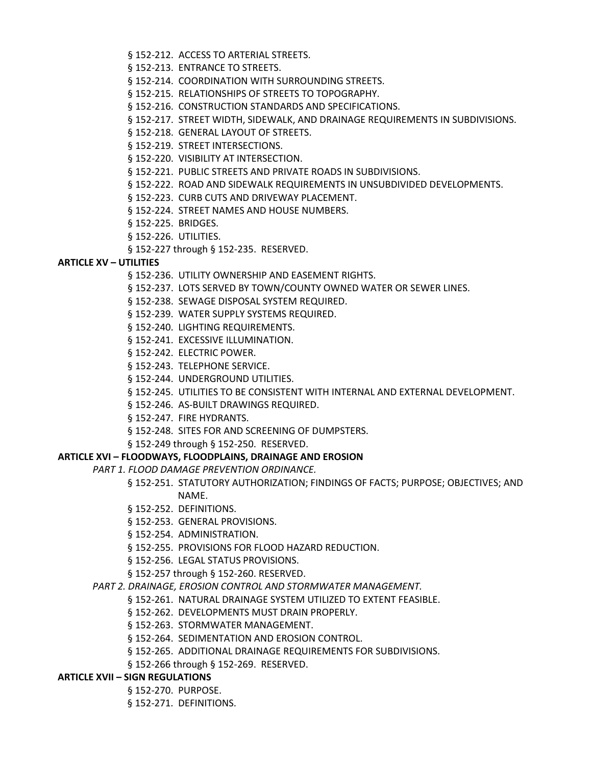- § 152-212. ACCESS TO ARTERIAL STREETS.
- § 152-213. ENTRANCE TO STREETS.
- § 152-214. COORDINATION WITH SURROUNDING STREETS.
- § 152-215. RELATIONSHIPS OF STREETS TO TOPOGRAPHY.
- § 152-216. CONSTRUCTION STANDARDS AND SPECIFICATIONS.
- § 152-217. STREET WIDTH, SIDEWALK, AND DRAINAGE REQUIREMENTS IN SUBDIVISIONS.
- § 152-218. GENERAL LAYOUT OF STREETS.
- § 152-219. STREET INTERSECTIONS.
- § 152-220. VISIBILITY AT INTERSECTION.
- § 152-221. PUBLIC STREETS AND PRIVATE ROADS IN SUBDIVISIONS.
- § 152-222. ROAD AND SIDEWALK REQUIREMENTS IN UNSUBDIVIDED DEVELOPMENTS.
- § 152-223. CURB CUTS AND DRIVEWAY PLACEMENT.
- § 152-224. STREET NAMES AND HOUSE NUMBERS.
- § 152-225. BRIDGES.
- § 152-226. UTILITIES.
- § 152-227 through § 152-235. RESERVED.

### **ARTICLE XV – UTILITIES**

- § 152-236. UTILITY OWNERSHIP AND EASEMENT RIGHTS.
- § 152-237. LOTS SERVED BY TOWN/COUNTY OWNED WATER OR SEWER LINES.
- § 152-238. SEWAGE DISPOSAL SYSTEM REQUIRED.
- § 152-239. WATER SUPPLY SYSTEMS REQUIRED.
- § 152-240. LIGHTING REQUIREMENTS.
- § 152-241. EXCESSIVE ILLUMINATION.
- § 152-242. ELECTRIC POWER.
- § 152-243. TELEPHONE SERVICE.
- § 152-244. UNDERGROUND UTILITIES.
- § 152-245. UTILITIES TO BE CONSISTENT WITH INTERNAL AND EXTERNAL DEVELOPMENT.
- § 152-246. AS-BUILT DRAWINGS REQUIRED.
- § 152-247. FIRE HYDRANTS.
- § 152-248. SITES FOR AND SCREENING OF DUMPSTERS.
- § 152-249 through § 152-250. RESERVED.

### **ARTICLE XVI – FLOODWAYS, FLOODPLAINS, DRAINAGE AND EROSION**

*PART 1. FLOOD DAMAGE PREVENTION ORDINANCE.*

- § 152-251. STATUTORY AUTHORIZATION; FINDINGS OF FACTS; PURPOSE; OBJECTIVES; AND NAME.
- § 152-252. DEFINITIONS.
- § 152-253. GENERAL PROVISIONS.
- § 152-254. ADMINISTRATION.
- § 152-255. PROVISIONS FOR FLOOD HAZARD REDUCTION.
- § 152-256. LEGAL STATUS PROVISIONS.
- § 152-257 through § 152-260. RESERVED.
- *PART 2. DRAINAGE, EROSION CONTROL AND STORMWATER MANAGEMENT.*
	- § 152-261. NATURAL DRAINAGE SYSTEM UTILIZED TO EXTENT FEASIBLE.
	- § 152-262. DEVELOPMENTS MUST DRAIN PROPERLY.
	- § 152-263. STORMWATER MANAGEMENT.
	- § 152-264. SEDIMENTATION AND EROSION CONTROL.
	- § 152-265. ADDITIONAL DRAINAGE REQUIREMENTS FOR SUBDIVISIONS.
	- § 152-266 through § 152-269. RESERVED.

### **ARTICLE XVII – SIGN REGULATIONS**

- § 152-270. PURPOSE.
- § 152-271. DEFINITIONS.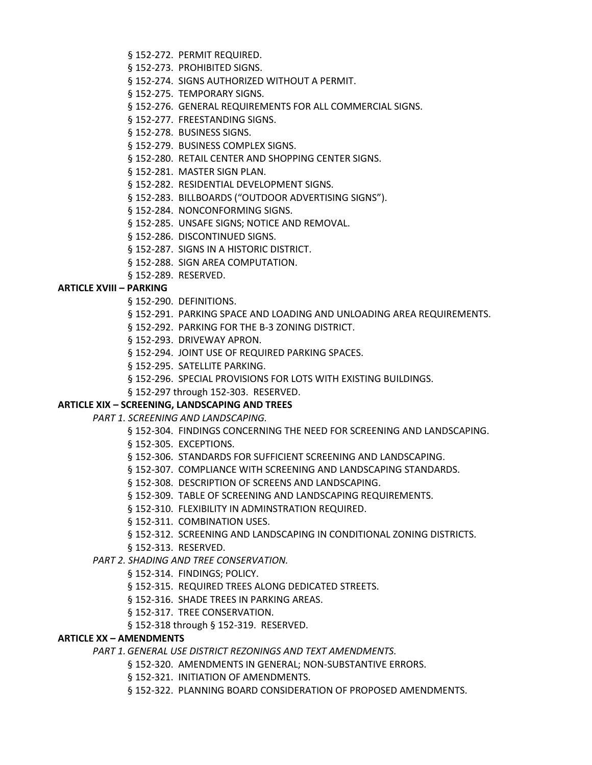- § 152-272. PERMIT REQUIRED.
- § 152-273. PROHIBITED SIGNS.
- § 152-274. SIGNS AUTHORIZED WITHOUT A PERMIT.
- § 152-275. TEMPORARY SIGNS.
- § 152-276. GENERAL REQUIREMENTS FOR ALL COMMERCIAL SIGNS.
- § 152-277. FREESTANDING SIGNS.
- § 152-278. BUSINESS SIGNS.
- § 152-279. BUSINESS COMPLEX SIGNS.
- § 152-280. RETAIL CENTER AND SHOPPING CENTER SIGNS.
- § 152-281. MASTER SIGN PLAN.
- § 152-282. RESIDENTIAL DEVELOPMENT SIGNS.
- § 152-283. BILLBOARDS ("OUTDOOR ADVERTISING SIGNS").
- § 152-284. NONCONFORMING SIGNS.
- § 152-285. UNSAFE SIGNS; NOTICE AND REMOVAL.
- § 152-286. DISCONTINUED SIGNS.
- § 152-287. SIGNS IN A HISTORIC DISTRICT.
- § 152-288. SIGN AREA COMPUTATION.
- § 152-289. RESERVED.

### **ARTICLE XVIII – PARKING**

- § 152-290. DEFINITIONS.
- § 152-291. PARKING SPACE AND LOADING AND UNLOADING AREA REQUIREMENTS.
- § 152-292. PARKING FOR THE B-3 ZONING DISTRICT.
- § 152-293. DRIVEWAY APRON.
- § 152-294. JOINT USE OF REQUIRED PARKING SPACES.
- § 152-295. SATELLITE PARKING.
- § 152-296. SPECIAL PROVISIONS FOR LOTS WITH EXISTING BUILDINGS.
- § 152-297 through 152-303. RESERVED.

#### **ARTICLE XIX – SCREENING, LANDSCAPING AND TREES**

- *PART 1. SCREENING AND LANDSCAPING.*
	- § 152-304. FINDINGS CONCERNING THE NEED FOR SCREENING AND LANDSCAPING.
	- § 152-305. EXCEPTIONS.
	- § 152-306. STANDARDS FOR SUFFICIENT SCREENING AND LANDSCAPING.
	- § 152-307. COMPLIANCE WITH SCREENING AND LANDSCAPING STANDARDS.
	- § 152-308. DESCRIPTION OF SCREENS AND LANDSCAPING.
	- § 152-309. TABLE OF SCREENING AND LANDSCAPING REQUIREMENTS.
	- § 152-310. FLEXIBILITY IN ADMINSTRATION REQUIRED.
	- § 152-311. COMBINATION USES.
	- § 152-312. SCREENING AND LANDSCAPING IN CONDITIONAL ZONING DISTRICTS.
	- § 152-313. RESERVED.

### *PART 2. SHADING AND TREE CONSERVATION.*

- § 152-314. FINDINGS; POLICY.
- § 152-315. REQUIRED TREES ALONG DEDICATED STREETS.
- § 152-316. SHADE TREES IN PARKING AREAS.
- § 152-317. TREE CONSERVATION.
- § 152-318 through § 152-319. RESERVED.

### **ARTICLE XX – AMENDMENTS**

*PART 1.GENERAL USE DISTRICT REZONINGS AND TEXT AMENDMENTS.*

- § 152-320. AMENDMENTS IN GENERAL; NON-SUBSTANTIVE ERRORS.
- § 152-321. INITIATION OF AMENDMENTS.
- § 152-322. PLANNING BOARD CONSIDERATION OF PROPOSED AMENDMENTS.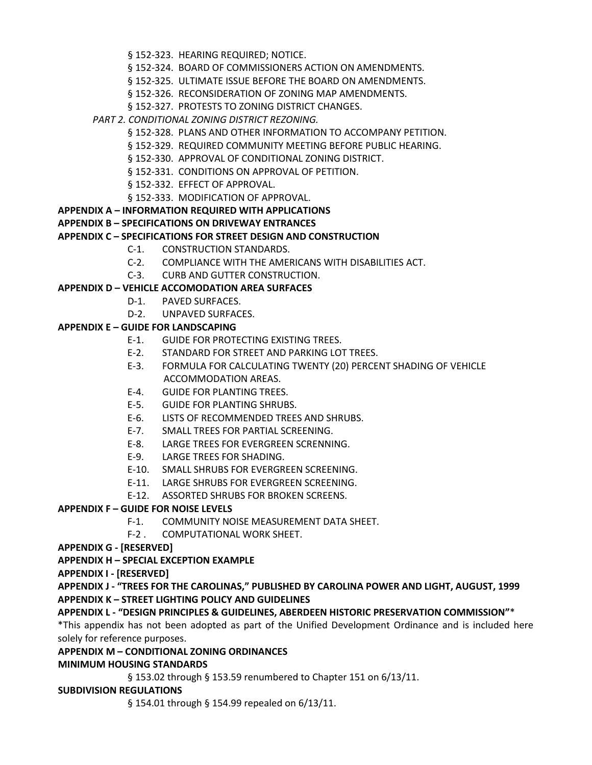- § 152-323. HEARING REQUIRED; NOTICE.
- § 152-324. BOARD OF COMMISSIONERS ACTION ON AMENDMENTS.
- § 152-325. ULTIMATE ISSUE BEFORE THE BOARD ON AMENDMENTS.
- § 152-326. RECONSIDERATION OF ZONING MAP AMENDMENTS.
- § 152-327. PROTESTS TO ZONING DISTRICT CHANGES.
- *PART 2. CONDITIONAL ZONING DISTRICT REZONING.*
	- § 152-328. PLANS AND OTHER INFORMATION TO ACCOMPANY PETITION.
	- § 152-329. REQUIRED COMMUNITY MEETING BEFORE PUBLIC HEARING.
	- § 152-330. APPROVAL OF CONDITIONAL ZONING DISTRICT.
	- § 152-331. CONDITIONS ON APPROVAL OF PETITION.
	- § 152-332. EFFECT OF APPROVAL.
	- § 152-333. MODIFICATION OF APPROVAL.
- **APPENDIX A – INFORMATION REQUIRED WITH APPLICATIONS**

# **APPENDIX B – SPECIFICATIONS ON DRIVEWAY ENTRANCES**

# **APPENDIX C – SPECIFICATIONS FOR STREET DESIGN AND CONSTRUCTION**

- C-1. CONSTRUCTION STANDARDS.
- C-2. COMPLIANCE WITH THE AMERICANS WITH DISABILITIES ACT.
- C-3. CURB AND GUTTER CONSTRUCTION.

# **APPENDIX D – VEHICLE ACCOMODATION AREA SURFACES**

- D-1. PAVED SURFACES.
- D-2. UNPAVED SURFACES.

# **APPENDIX E – GUIDE FOR LANDSCAPING**

- E-1. GUIDE FOR PROTECTING EXISTING TREES.
- E-2. STANDARD FOR STREET AND PARKING LOT TREES.
- E-3. FORMULA FOR CALCULATING TWENTY (20) PERCENT SHADING OF VEHICLE ACCOMMODATION AREAS.
- E-4. GUIDE FOR PLANTING TREES.
- E-5. GUIDE FOR PLANTING SHRUBS.
- E-6. LISTS OF RECOMMENDED TREES AND SHRUBS.
- E-7. SMALL TREES FOR PARTIAL SCREENING.
- E-8. LARGE TREES FOR EVERGREEN SCRENNING.
- E-9. LARGE TREES FOR SHADING.
- E-10. SMALL SHRUBS FOR EVERGREEN SCREENING.
- E-11. LARGE SHRUBS FOR EVERGREEN SCREENING.
- E-12. ASSORTED SHRUBS FOR BROKEN SCREENS.

# **APPENDIX F – GUIDE FOR NOISE LEVELS**

- F-1. COMMUNITY NOISE MEASUREMENT DATA SHEET.
- F-2 . COMPUTATIONAL WORK SHEET.
- **APPENDIX G - [RESERVED]**

# **APPENDIX H – SPECIAL EXCEPTION EXAMPLE**

**APPENDIX I - [RESERVED]**

**APPENDIX J - "TREES FOR THE CAROLINAS," PUBLISHED BY CAROLINA POWER AND LIGHT, AUGUST, 1999 APPENDIX K – STREET LIGHTING POLICY AND GUIDELINES**

## **APPENDIX L - "DESIGN PRINCIPLES & GUIDELINES, ABERDEEN HISTORIC PRESERVATION COMMISSION"**\*

\*This appendix has not been adopted as part of the Unified Development Ordinance and is included here solely for reference purposes.

# **APPENDIX M – CONDITIONAL ZONING ORDINANCES**

# **MINIMUM HOUSING STANDARDS**

§ 153.02 through § 153.59 renumbered to Chapter 151 on 6/13/11.

## **SUBDIVISION REGULATIONS**

§ 154.01 through § 154.99 repealed on 6/13/11.